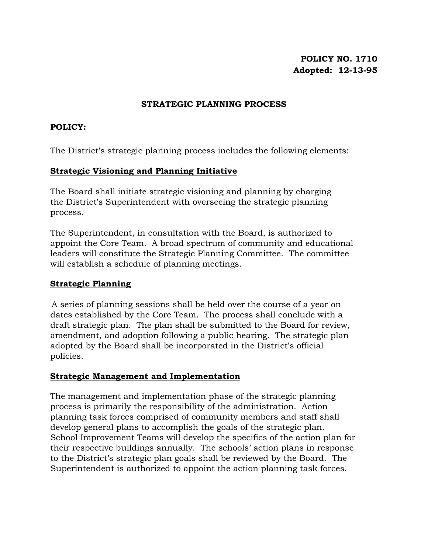# **POLICY NO. 1710 Adopted: 12-13-95**

#### **STRATEGIC PLANNING PROCESS**

# **POLICY:**

The District's strategic planning process includes the following elements:

# **Strategic Visioning and Planning Initiative**

The Board shall initiate strategic visioning and planning by charging the District's Superintendent with overseeing the strategic planning process.

The Superintendent, in consultation with the Board, is authorized to appoint the Core Team. A broad spectrum of community and educational leaders will constitute the Strategic Planning Committee. The committee will establish a schedule of planning meetings.

## **Strategic Planning**

 A series of planning sessions shall be held over the course of a year on dates established by the Core Team. The process shall conclude with a draft strategic plan. The plan shall be submitted to the Board for review, amendment, and adoption following a public hearing. The strategic plan adopted by the Board shall be incorporated in the District's official policies.

## **Strategic Management and Implementation**

The management and implementation phase of the strategic planning process is primarily the responsibility of the administration. Action planning task forces comprised of community members and staff shall develop general plans to accomplish the goals of the strategic plan. School Improvement Teams will develop the specifics of the action plan for their respective buildings annually. The schools' action plans in response to the District's strategic plan goals shall be reviewed by the Board. The Superintendent is authorized to appoint the action planning task forces.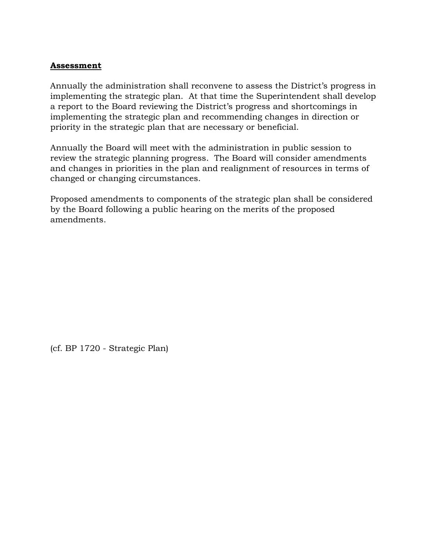# **Assessment**

Annually the administration shall reconvene to assess the District's progress in implementing the strategic plan. At that time the Superintendent shall develop a report to the Board reviewing the District's progress and shortcomings in implementing the strategic plan and recommending changes in direction or priority in the strategic plan that are necessary or beneficial.

Annually the Board will meet with the administration in public session to review the strategic planning progress. The Board will consider amendments and changes in priorities in the plan and realignment of resources in terms of changed or changing circumstances.

Proposed amendments to components of the strategic plan shall be considered by the Board following a public hearing on the merits of the proposed amendments.

(cf. BP 1720 - Strategic Plan)